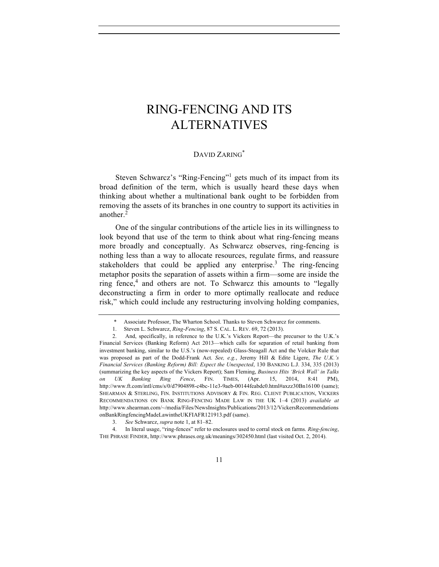## RING-FENCING AND ITS ALTERNATIVES

## DAVID ZARING<sup>\*</sup>

Steven Schwarcz's "Ring-Fencing"<sup>1</sup> gets much of its impact from its broad definition of the term, which is usually heard these days when thinking about whether a multinational bank ought to be forbidden from removing the assets of its branches in one country to support its activities in another.<sup>2</sup>

One of the singular contributions of the article lies in its willingness to look beyond that use of the term to think about what ring-fencing means more broadly and conceptually. As Schwarcz observes, ring-fencing is nothing less than a way to allocate resources, regulate firms, and reassure stakeholders that could be applied any enterprise.<sup>3</sup> The ring-fencing metaphor posits the separation of assets within a firm—some are inside the ring fence,<sup>4</sup> and others are not. To Schwarcz this amounts to "legally deconstructing a firm in order to more optimally reallocate and reduce risk," which could include any restructuring involving holding companies,

<sup>\*</sup> Associate Professor, The Wharton School. Thanks to Steven Schwarcz for comments.

<sup>1.</sup> Steven L. Schwarcz, *Ring-Fencing*, 87 S. CAL. L. REV. 69, 72 (2013).

<sup>2.</sup> And, specifically, in reference to the U.K.'s Vickers Report—the precursor to the U.K.'s Financial Services (Banking Reform) Act 2013—which calls for separation of retail banking from investment banking, similar to the U.S.'s (now-repealed) Glass-Steagall Act and the Volcker Rule that was proposed as part of the Dodd-Frank Act. *See, e.g.*, Jeremy Hill & Edite Ligere, *The U.K.'s Financial Services (Banking Reform) Bill: Expect the Unexpected*, 130 BANKING L.J. 334, 335 (2013) (summarizing the key aspects of the Vickers Report); Sam Fleming, *Business Hits 'Brick Wall' in Talks on UK Banking Ring Fence*, FIN. TIMES, (Apr. 15, 2014, 8:41 PM), http://www.ft.com/intl/cms/s/0/d7904898-c4bc-11e3-9aeb-00144feabdc0.html#axzz30Bn16100 (same); SHEARMAN & STERLING, FIN. INSTITUTIONS ADVISORY & FIN. REG. CLIENT PUBLICATION, VICKERS RECOMMENDATIONS ON BANK RING-FENCING MADE LAW IN THE UK 1–4 (2013) *available at* http://www.shearman.com/~/media/Files/NewsInsights/Publications/2013/12/VickersRecommendations onBankRingfencingMadeLawintheUKFIAFR121913.pdf (same).

<sup>3.</sup> *See* Schwarcz, *supra* note 1, at 81–82.

<sup>4.</sup> In literal usage, "ring-fences" refer to enclosures used to corral stock on farms. *Ring-fencing*, THE PHRASE FINDER, http://www.phrases.org.uk/meanings/302450.html (last visited Oct. 2, 2014).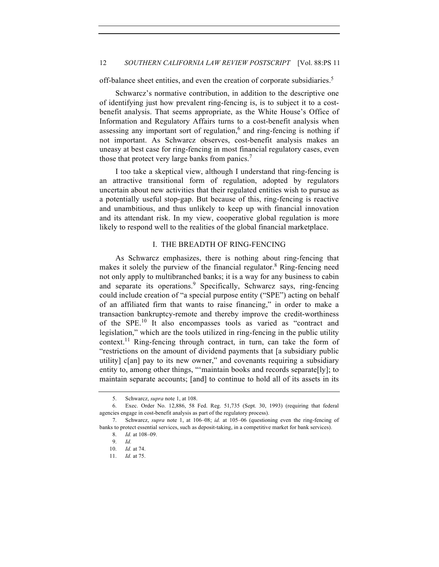off-balance sheet entities, and even the creation of corporate subsidiaries.<sup>5</sup>

Schwarcz's normative contribution, in addition to the descriptive one of identifying just how prevalent ring-fencing is, is to subject it to a costbenefit analysis. That seems appropriate, as the White House's Office of Information and Regulatory Affairs turns to a cost-benefit analysis when assessing any important sort of regulation, $6$  and ring-fencing is nothing if not important. As Schwarcz observes, cost-benefit analysis makes an uneasy at best case for ring-fencing in most financial regulatory cases, even those that protect very large banks from panics.<sup>7</sup>

I too take a skeptical view, although I understand that ring-fencing is an attractive transitional form of regulation, adopted by regulators uncertain about new activities that their regulated entities wish to pursue as a potentially useful stop-gap. But because of this, ring-fencing is reactive and unambitious, and thus unlikely to keep up with financial innovation and its attendant risk. In my view, cooperative global regulation is more likely to respond well to the realities of the global financial marketplace.

## I. THE BREADTH OF RING-FENCING

As Schwarcz emphasizes, there is nothing about ring-fencing that makes it solely the purview of the financial regulator.<sup>8</sup> Ring-fencing need not only apply to multibranched banks; it is a way for any business to cabin and separate its operations.<sup>9</sup> Specifically, Schwarcz says, ring-fencing could include creation of "a special purpose entity ("SPE") acting on behalf of an affiliated firm that wants to raise financing," in order to make a transaction bankruptcy-remote and thereby improve the credit-worthiness of the SPE.<sup>10</sup> It also encompasses tools as varied as "contract and legislation," which are the tools utilized in ring-fencing in the public utility context.<sup>11</sup> Ring-fencing through contract, in turn, can take the form of "restrictions on the amount of dividend payments that [a subsidiary public utility] c[an] pay to its new owner," and covenants requiring a subsidiary entity to, among other things, "'maintain books and records separate[ly]; to maintain separate accounts; [and] to continue to hold all of its assets in its

<sup>5.</sup> Schwarcz, *supra* note 1, at 108.

<sup>6.</sup> Exec. Order No. 12,886, 58 Fed. Reg. 51,735 (Sept. 30, 1993) (requiring that federal agencies engage in cost-benefit analysis as part of the regulatory process).

<sup>7.</sup> Schwarcz, *supra* note 1, at 106–08; *id.* at 105–06 (questioning even the ring-fencing of banks to protect essential services, such as deposit-taking, in a competitive market for bank services).

<sup>8.</sup> *Id.* at 108–09.

<sup>9.</sup> *Id.*

<sup>10.</sup> *Id.* at 74.

<sup>11.</sup> *Id.* at 75.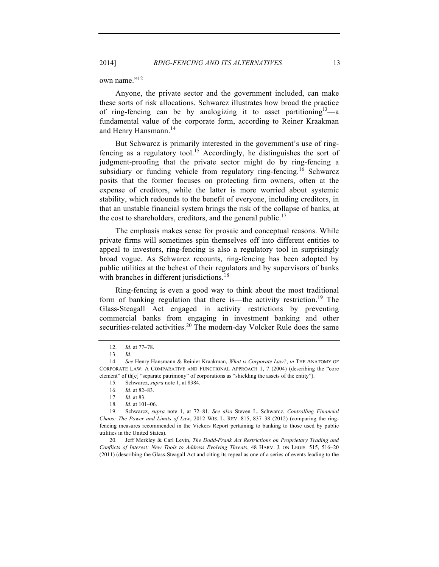own name."<sup>12</sup>

Anyone, the private sector and the government included, can make these sorts of risk allocations. Schwarcz illustrates how broad the practice of ring-fencing can be by analogizing it to asset partitioning  $3\rightarrow a$ fundamental value of the corporate form, according to Reiner Kraakman and Henry Hansmann.<sup>14</sup>

But Schwarcz is primarily interested in the government's use of ringfencing as a regulatory tool.<sup>15</sup> Accordingly, he distinguishes the sort of judgment-proofing that the private sector might do by ring-fencing a subsidiary or funding vehicle from regulatory ring-fencing.<sup>16</sup> Schwarcz posits that the former focuses on protecting firm owners, often at the expense of creditors, while the latter is more worried about systemic stability, which redounds to the benefit of everyone, including creditors, in that an unstable financial system brings the risk of the collapse of banks, at the cost to shareholders, creditors, and the general public.<sup>17</sup>

The emphasis makes sense for prosaic and conceptual reasons. While private firms will sometimes spin themselves off into different entities to appeal to investors, ring-fencing is also a regulatory tool in surprisingly broad vogue. As Schwarcz recounts, ring-fencing has been adopted by public utilities at the behest of their regulators and by supervisors of banks with branches in different jurisdictions.<sup>18</sup>

Ring-fencing is even a good way to think about the most traditional form of banking regulation that there is—the activity restriction.<sup>19</sup> The Glass-Steagall Act engaged in activity restrictions by preventing commercial banks from engaging in investment banking and other securities-related activities.<sup>20</sup> The modern-day Volcker Rule does the same

<sup>12.</sup> *Id.* at 77–78.

<sup>13.</sup> *Id.*

<sup>14.</sup> *See* Henry Hansmann & Reinier Kraakman, *What is Corporate Law?*, *in* THE ANATOMY OF CORPORATE LAW: A COMPARATIVE AND FUNCTIONAL APPROACH 1, 7 (2004) (describing the "core element" of th[e] "separate patrimony" of corporations as "shielding the assets of the entity").

<sup>15.</sup> Schwarcz, *supra* note 1, at 8384.

<sup>16.</sup> *Id.* at 82–83.

<sup>17.</sup> *Id.* at 83.

<sup>18.</sup> *Id.* at 101–06.

<sup>19.</sup> Schwarcz, *supra* note 1, at 72–81. *See also* Steven L. Schwarcz, *Controlling Financial Chaos: The Power and Limits of Law*, 2012 WIS. L. REV. 815, 837–38 (2012) (comparing the ringfencing measures recommended in the Vickers Report pertaining to banking to those used by public utilities in the United States).

<sup>20.</sup> Jeff Merkley & Carl Levin, *The Dodd-Frank Act Restrictions on Proprietary Trading and Conflicts of Interest: New Tools to Address Evolving Threats*, 48 HARV. J. ON LEGIS. 515, 516–20 (2011) (describing the Glass-Steagall Act and citing its repeal as one of a series of events leading to the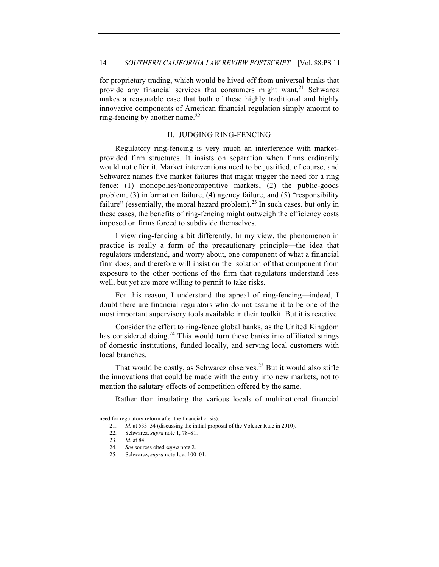for proprietary trading, which would be hived off from universal banks that provide any financial services that consumers might want.<sup>21</sup> Schwarcz makes a reasonable case that both of these highly traditional and highly innovative components of American financial regulation simply amount to ring-fencing by another name. $^{22}$ 

## II. JUDGING RING-FENCING

Regulatory ring-fencing is very much an interference with marketprovided firm structures. It insists on separation when firms ordinarily would not offer it. Market interventions need to be justified, of course, and Schwarcz names five market failures that might trigger the need for a ring fence: (1) monopolies/noncompetitive markets, (2) the public-goods problem, (3) information failure, (4) agency failure, and (5) "responsibility failure" (essentially, the moral hazard problem).<sup>23</sup> In such cases, but only in these cases, the benefits of ring-fencing might outweigh the efficiency costs imposed on firms forced to subdivide themselves.

I view ring-fencing a bit differently. In my view, the phenomenon in practice is really a form of the precautionary principle—the idea that regulators understand, and worry about, one component of what a financial firm does, and therefore will insist on the isolation of that component from exposure to the other portions of the firm that regulators understand less well, but yet are more willing to permit to take risks.

For this reason, I understand the appeal of ring-fencing—indeed, I doubt there are financial regulators who do not assume it to be one of the most important supervisory tools available in their toolkit. But it is reactive.

Consider the effort to ring-fence global banks, as the United Kingdom has considered doing.<sup>24</sup> This would turn these banks into affiliated strings of domestic institutions, funded locally, and serving local customers with local branches.

That would be costly, as Schwarcz observes.<sup>25</sup> But it would also stifle the innovations that could be made with the entry into new markets, not to mention the salutary effects of competition offered by the same.

Rather than insulating the various locals of multinational financial

need for regulatory reform after the financial crisis).

<sup>21.</sup> *Id.* at 533–34 (discussing the initial proposal of the Volcker Rule in 2010).

<sup>22.</sup> Schwarcz, *supra* note 1, 78–81.

<sup>23.</sup> *Id.* at 84.

<sup>24.</sup> *See* sources cited *supra* note 2.

<sup>25.</sup> Schwarcz, *supra* note 1, at 100–01.